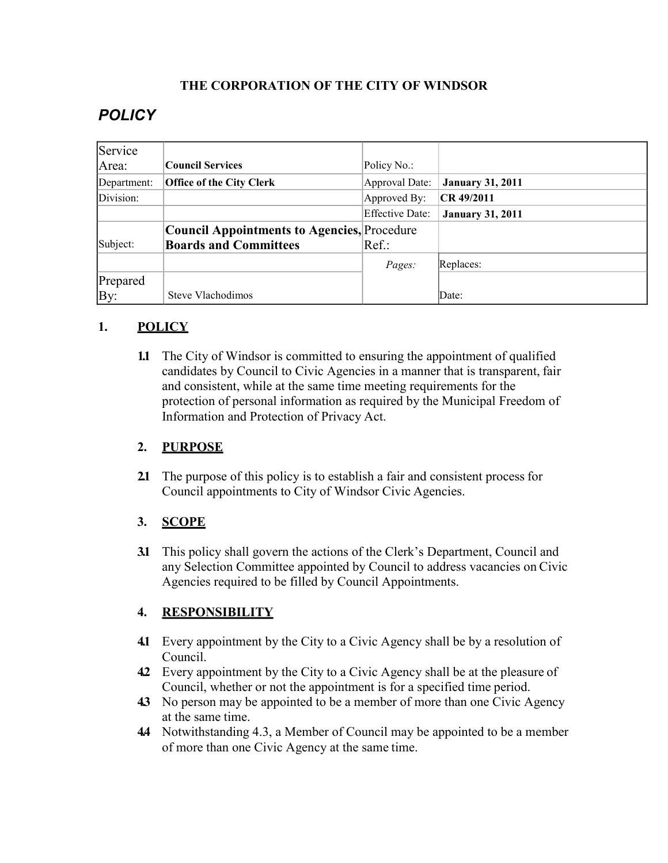## **THE CORPORATION OF THE CITY OF WINDSOR**

# *POLICY*

| Service     |                                                    |                        |                         |
|-------------|----------------------------------------------------|------------------------|-------------------------|
| Area:       | <b>Council Services</b>                            | Policy No.:            |                         |
| Department: | <b>Office of the City Clerk</b>                    | Approval Date:         | <b>January 31, 2011</b> |
| Division:   |                                                    | Approved By:           | CR 49/2011              |
|             |                                                    | <b>Effective Date:</b> | <b>January 31, 2011</b> |
|             | <b>Council Appointments to Agencies, Procedure</b> |                        |                         |
| Subject:    | <b>Boards and Committees</b>                       | Ref.:                  |                         |
|             |                                                    | Pages:                 | Replaces:               |
| Prepared    |                                                    |                        |                         |
| By:         | Steve Vlachodimos                                  |                        | Date:                   |

## **1. POLICY**

**1.1** The City of Windsor is committed to ensuring the appointment of qualified candidates by Council to Civic Agencies in a manner that is transparent, fair and consistent, while at the same time meeting requirements for the protection of personal information as required by the Municipal Freedom of Information and Protection of Privacy Act.

## **2. PURPOSE**

**2.1** The purpose of this policy is to establish a fair and consistent process for Council appointments to City of Windsor Civic Agencies.

## **3. SCOPE**

**3.1** This policy shall govern the actions of the Clerk's Department, Council and any Selection Committee appointed by Council to address vacancies on Civic Agencies required to be filled by Council Appointments.

## **4. RESPONSIBILITY**

- **4.1** Every appointment by the City to a Civic Agency shall be by a resolution of Council.
- **4.2** Every appointment by the City to a Civic Agency shall be at the pleasure of Council, whether or not the appointment is for a specified time period.
- **4.3** No person may be appointed to be a member of more than one Civic Agency at the same time.
- **4.4** Notwithstanding 4.3, a Member of Council may be appointed to be a member of more than one Civic Agency at the same time.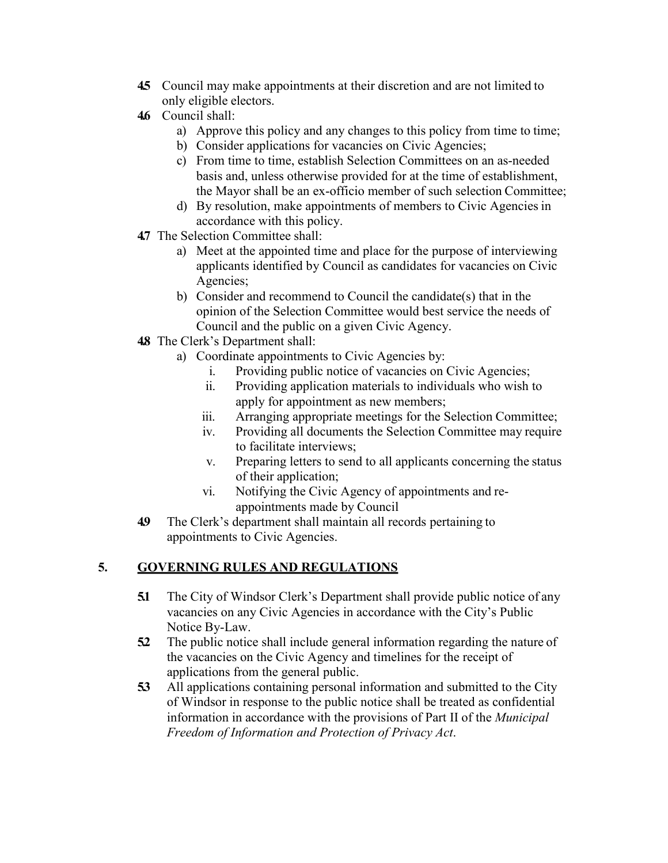- **4.5** Council may make appointments at their discretion and are not limited to only eligible electors.
- **4.6** Council shall:
	- a) Approve this policy and any changes to this policy from time to time;
	- b) Consider applications for vacancies on Civic Agencies;
	- c) From time to time, establish Selection Committees on an as-needed basis and, unless otherwise provided for at the time of establishment, the Mayor shall be an ex-officio member of such selection Committee;
	- d) By resolution, make appointments of members to Civic Agencies in accordance with this policy.
- **4.7** The Selection Committee shall:
	- a) Meet at the appointed time and place for the purpose of interviewing applicants identified by Council as candidates for vacancies on Civic Agencies;
	- b) Consider and recommend to Council the candidate(s) that in the opinion of the Selection Committee would best service the needs of Council and the public on a given Civic Agency.
- **4.8** The Clerk's Department shall:
	- a) Coordinate appointments to Civic Agencies by:
		- i. Providing public notice of vacancies on Civic Agencies;
		- ii. Providing application materials to individuals who wish to apply for appointment as new members;
		- iii. Arranging appropriate meetings for the Selection Committee;
		- iv. Providing all documents the Selection Committee may require to facilitate interviews;
		- v. Preparing letters to send to all applicants concerning the status of their application;
		- vi. Notifying the Civic Agency of appointments and reappointments made by Council
- **4.9** The Clerk's department shall maintain all records pertaining to appointments to Civic Agencies.

## **5. GOVERNING RULES AND REGULATIONS**

- **5.1** The City of Windsor Clerk's Department shall provide public notice of any vacancies on any Civic Agencies in accordance with the City's Public Notice By-Law.
- **5.2** The public notice shall include general information regarding the nature of the vacancies on the Civic Agency and timelines for the receipt of applications from the general public.
- **5.3** All applications containing personal information and submitted to the City of Windsor in response to the public notice shall be treated as confidential information in accordance with the provisions of Part II of the *Municipal Freedom of Information and Protection of Privacy Act*.